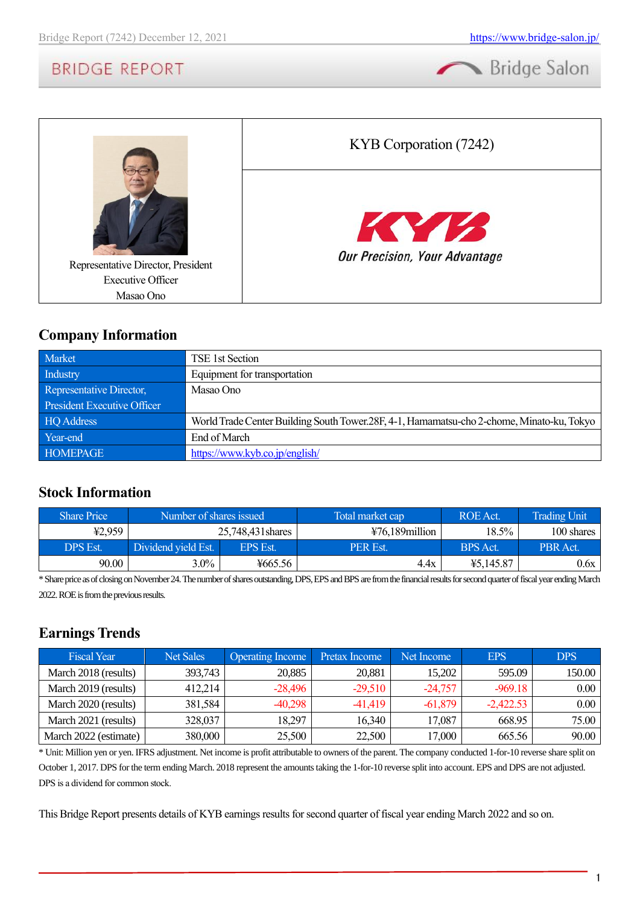



# **Company Information**

| Market                             | TSE 1st Section                                                                           |
|------------------------------------|-------------------------------------------------------------------------------------------|
| Industry                           | Equipment for transportation                                                              |
| Representative Director,           | Masao Ono                                                                                 |
| <b>President Executive Officer</b> |                                                                                           |
| HQ Address                         | World Trade Center Building South Tower.28F, 4-1, Hamamatsu-cho 2-chome, Minato-ku, Tokyo |
| Year-end                           | End of March                                                                              |
| <b>HOMEPAGE</b>                    | https://www.kyb.co.jp/english/                                                            |

# **Stock Information**

| <b>Share Price</b> | Number of shares issued |                 | Total market cap  | ROE Act.        | Trading Unit |
|--------------------|-------------------------|-----------------|-------------------|-----------------|--------------|
| ¥2,959             | 25,748,431 shares       |                 | $476,189$ million | $18.5\%$        | 100 shares   |
| <b>DPS Est.</b>    | Dividend vield Est.     | <b>EPS Est.</b> | PER Est.          | <b>BPS</b> Act. | PBR Act.     |
| 90.00              | $3.0\%$                 | ¥665.56         | 4.4x              | ¥5,145.87       | 0.6x         |

\* Share price as of closing on November 24. The number of shares outstanding, DPS, EPS and BPS are from the financial results for second quarter of fiscal year ending March 2022. ROE is from the previous results.

# **Earnings Trends**

| <b>Fiscal Year</b>    | <b>Net Sales</b> | <b>Operating Income</b> | Pretax Income | Net Income | <b>EPS</b>  | <b>DPS</b> |
|-----------------------|------------------|-------------------------|---------------|------------|-------------|------------|
| March 2018 (results)  | 393,743          | 20,885                  | 20,881        | 15,202     | 595.09      | 150.00     |
| March 2019 (results)  | 412,214          | $-28,496$               | $-29,510$     | $-24,757$  | $-969.18$   | 0.00       |
| March 2020 (results)  | 381,584          | $-40,298$               | $-41,419$     | $-61,879$  | $-2,422.53$ | 0.00       |
| March 2021 (results)  | 328,037          | 18,297                  | 16,340        | 17,087     | 668.95      | 75.00      |
| March 2022 (estimate) | 380,000          | 25,500                  | 22,500        | 17,000     | 665.56      | 90.00      |

\* Unit: Million yen or yen. IFRS adjustment. Net income is profit attributable to owners of the parent. The company conducted 1-for-10 reverse share split on October 1, 2017. DPS for the term ending March. 2018 represent the amounts taking the 1-for-10 reverse split into account. EPS and DPS are not adjusted. DPS is a dividend for common stock.

This Bridge Report presents details of KYB earnings results for second quarter of fiscal year ending March 2022 and so on.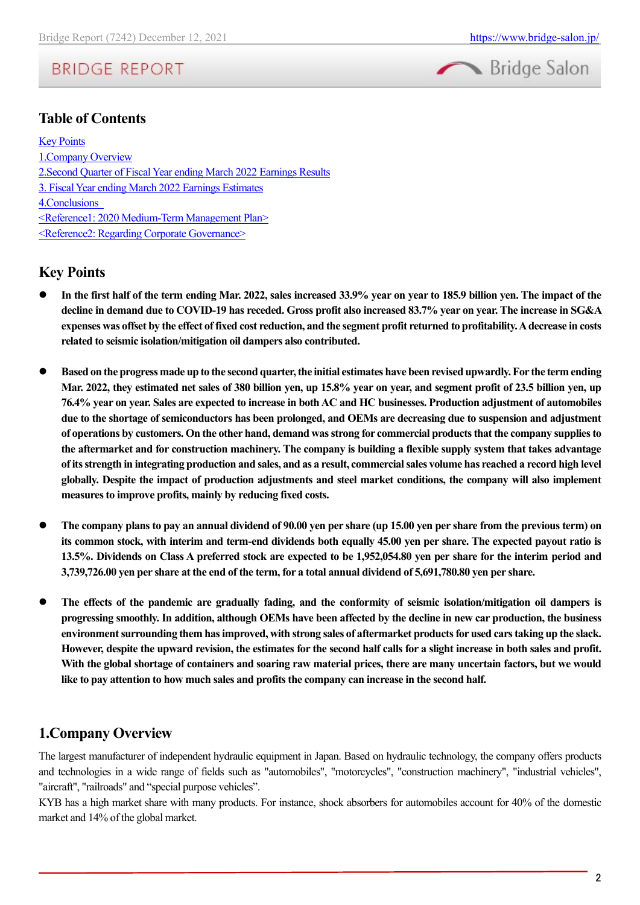



# **Table of Contents**

[Key Points](#page-1-0) [1.Company Overview](#page-1-1) [2.Second Quarter of Fiscal Year ending March 2022](#page-13-0) Earnings Results [3. Fiscal Year ending March 2022 Earnings Estimates](#page-17-0) [4.C](#page-17-1)onclusions [<Reference1: 2020 Medium-Term Management Plan>](#page-18-0) [<Reference2: Regarding Corporate Governance>](#page-20-0)

## <span id="page-1-0"></span>**Key Points**

- ⚫ **In the first half of the term ending Mar. 2022, sales increased 33.9% year on year to 185.9 billion yen. The impact of the decline in demand due to COVID-19 has receded. Gross profit also increased 83.7% year on year. The increase in SG&A expenses was offset by the effect of fixed cost reduction, and the segment profit returned to profitability. A decrease in costs related to seismic isolation/mitigation oil dampers also contributed.**
- ⚫ **Based on the progress made up to the second quarter, the initial estimates have been revised upwardly. For the term ending Mar. 2022, they estimated net sales of 380 billion yen, up 15.8% year on year, and segment profit of 23.5 billion yen, up 76.4% year on year. Sales are expected to increase in both AC and HC businesses. Production adjustment of automobiles due to the shortage of semiconductors has been prolonged, and OEMs are decreasing due to suspension and adjustment of operations by customers. On the other hand, demand was strong for commercial products that the company supplies to the aftermarket and for construction machinery. The company is building a flexible supply system that takes advantage of its strength in integrating production and sales, and as a result, commercial sales volume has reached a record high level globally. Despite the impact of production adjustments and steel market conditions, the company will also implement measures to improve profits, mainly by reducing fixed costs.**
- ⚫ **The company plans to pay an annual dividend of 90.00 yen per share (up 15.00 yen per share from the previous term) on its common stock, with interim and term-end dividends both equally 45.00 yen per share. The expected payout ratio is 13.5%. Dividends on Class A preferred stock are expected to be 1,952,054.80 yen per share for the interim period and 3,739,726.00 yen per share at the end of the term, for a total annual dividend of 5,691,780.80 yen per share.**
- ⚫ **The effects of the pandemic are gradually fading, and the conformity of seismic isolation/mitigation oil dampers is progressing smoothly. In addition, although OEMs have been affected by the decline in new car production, the business environment surrounding them has improved, with strong sales of aftermarket products for used cars taking up the slack. However, despite the upward revision, the estimates for the second half calls for a slight increase in both sales and profit. With the global shortage of containers and soaring raw material prices, there are many uncertain factors, but we would like to pay attention to how much sales and profits the company can increase in the second half.**

# <span id="page-1-1"></span>**1.Company Overview**

The largest manufacturer of independent hydraulic equipment in Japan. Based on hydraulic technology, the company offers products and technologies in a wide range of fields such as "automobiles", "motorcycles", "construction machinery", "industrial vehicles", "aircraft", "railroads" and "special purpose vehicles".

KYB has a high market share with many products. For instance, shock absorbers for automobiles account for 40% of the domestic market and 14% of the global market.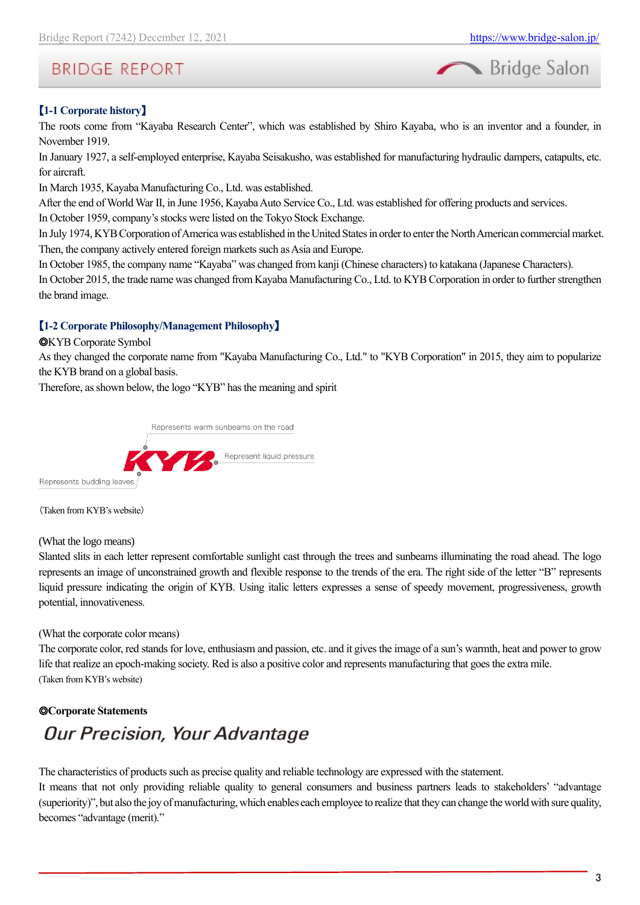

## 【**1-1 Corporate history**】

The roots come from "Kayaba Research Center", which was established by Shiro Kayaba, who is an inventor and a founder, in November 1919.

In January 1927, a self-employed enterprise, Kayaba Seisakusho, was established for manufacturing hydraulic dampers, catapults, etc. for aircraft.

In March 1935, Kayaba Manufacturing Co., Ltd. was established.

After the end of World War II, in June 1956, Kayaba Auto Service Co., Ltd. was established for offering products and services.

In October 1959, company's stocks were listed on the Tokyo Stock Exchange.

In July 1974, KYB Corporation of America was established in the United States in order to enter the North American commercial market. Then, the company actively entered foreign markets such as Asia and Europe.

In October 1985, the company name "Kayaba" was changed from kanji (Chinese characters) to katakana (Japanese Characters). In October 2015, the trade name was changed from Kayaba Manufacturing Co., Ltd. to KYB Corporation in order to further strengthen the brand image.

## 【**1-2 Corporate Philosophy/Management Philosophy**】

### ◎KYB Corporate Symbol

As they changed the corporate name from "Kayaba Manufacturing Co., Ltd." to "KYB Corporation" in 2015, they aim to popularize the KYB brand on a global basis.

Therefore, as shown below, the logo "KYB" has the meaning and spirit



Represents budding leaves

(Taken from KYB's website)

### (What the logo means)

Slanted slits in each letter represent comfortable sunlight cast through the trees and sunbeams illuminating the road ahead. The logo represents an image of unconstrained growth and flexible response to the trends of the era. The right side of the letter "B" represents liquid pressure indicating the origin of KYB. Using italic letters expresses a sense of speedy movement, progressiveness, growth potential, innovativeness.

### (What the corporate color means)

The corporate color, red stands for love, enthusiasm and passion, etc. and it gives the image of a sun's warmth, heat and power to grow life that realize an epoch-making society. Red is also a positive color and represents manufacturing that goes the extra mile. (Taken from KYB's website)

### ◎**Corporate Statements**

# **Our Precision, Your Advantage**

The characteristics of products such as precise quality and reliable technology are expressed with the statement.

It means that not only providing reliable quality to general consumers and business partners leads to stakeholders' "advantage (superiority)", but also the joy of manufacturing, which enables each employee to realize that they can change the world with sure quality, becomes "advantage (merit)."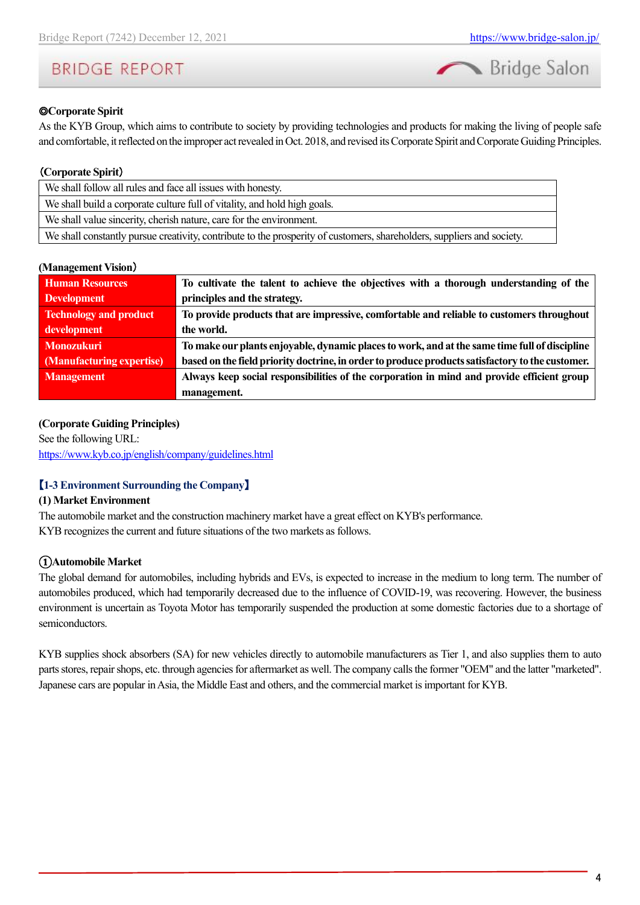

## ◎**Corporate Spirit**

As the KYB Group, which aims to contribute to society by providing technologies and products for making the living of people safe and comfortable, it reflected on the improper act revealed in Oct. 2018, and revised its Corporate Spirit and Corporate Guiding Principles.

### (**Corporate Spirit**)

| We shall follow all rules and face all issues with honesty.                                                            |
|------------------------------------------------------------------------------------------------------------------------|
| We shall build a corporate culture full of vitality, and hold high goals.                                              |
| We shall value sincerity, cherish nature, care for the environment.                                                    |
| We shall constantly pursue creativity, contribute to the prosperity of customers, shareholders, suppliers and society. |

### **(Management Vision**)

| <b>Human Resources</b>        | To cultivate the talent to achieve the objectives with a thorough understanding of the           |
|-------------------------------|--------------------------------------------------------------------------------------------------|
| <b>Development</b>            | principles and the strategy.                                                                     |
| <b>Technology and product</b> | To provide products that are impressive, comfortable and reliable to customers throughout        |
| development                   | the world.                                                                                       |
| <b>Monozukuri</b>             | To make our plants enjoyable, dynamic places to work, and at the same time full of discipline    |
| (Manufacturing expertise)     | based on the field priority doctrine, in order to produce products satisfactory to the customer. |
| <b>Management</b>             | Always keep social responsibilities of the corporation in mind and provide efficient group       |
|                               | management.                                                                                      |

### **(Corporate Guiding Principles)**

See the following URL: <https://www.kyb.co.jp/english/company/guidelines.html>

## 【**1-3 Environment Surrounding the Company**】

### **(1) Market Environment**

The automobile market and the construction machinery market have a great effect on KYB's performance. KYB recognizes the current and future situations of the two markets as follows.

## ①**Automobile Market**

The global demand for automobiles, including hybrids and EVs, is expected to increase in the medium to long term. The number of automobiles produced, which had temporarily decreased due to the influence of COVID-19, was recovering. However, the business environment is uncertain as Toyota Motor has temporarily suspended the production at some domestic factories due to a shortage of semiconductors.

KYB supplies shock absorbers (SA) for new vehicles directly to automobile manufacturers as Tier 1, and also supplies them to auto parts stores, repair shops, etc. through agencies for aftermarket as well. The company calls the former "OEM" and the latter "marketed". Japanese cars are popular in Asia, the Middle East and others, and the commercial market is important for KYB.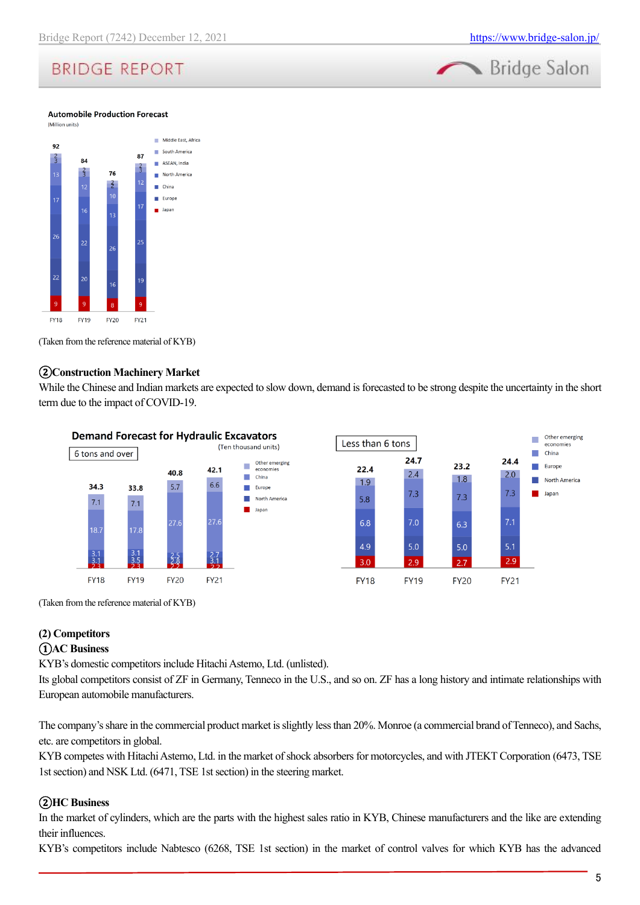

#### **Automobile Production Forecast**



(Taken from the reference material of KYB)

### ②**Construction Machinery Market**

While the Chinese and Indian markets are expected to slow down, demand is forecasted to be strong despite the uncertainty in the short term due to the impact of COVID-19.



(Taken from the reference material of KYB)

### **(2) Competitors** ①**AC Business**

KYB's domestic competitors include Hitachi Astemo, Ltd. (unlisted).

Its global competitors consist of ZF in Germany, Tenneco in the U.S., and so on. ZF has a long history and intimate relationships with European automobile manufacturers.

The company's share in the commercial product market is slightly less than 20%. Monroe (a commercial brand of Tenneco), and Sachs, etc. are competitors in global.

KYB competes with Hitachi Astemo, Ltd. in the market of shock absorbers for motorcycles, and with JTEKT Corporation (6473, TSE 1st section) and NSK Ltd. (6471, TSE 1st section) in the steering market.

## ②**HC Business**

In the market of cylinders, which are the parts with the highest sales ratio in KYB, Chinese manufacturers and the like are extending their influences.

KYB's competitors include Nabtesco (6268, TSE 1st section) in the market of control valves for which KYB has the advanced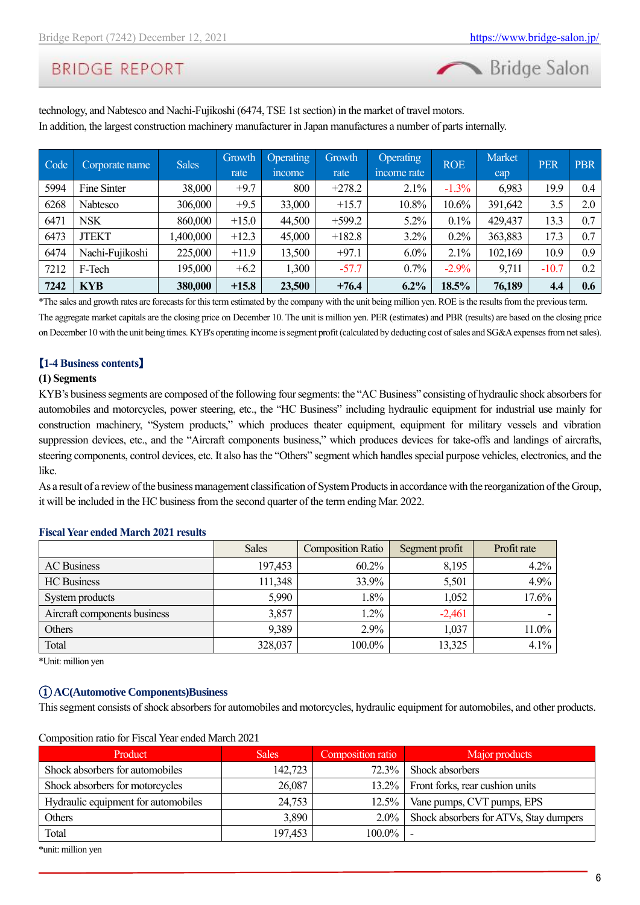# **BRIDGE REPORT**

| Code | Corporate name  | <b>Sales</b> | Growth  | <b>Operating</b> | <b>Growth</b> | Operating   | <b>ROE</b> | Market  | <b>PER</b> | <b>PBR</b>    |
|------|-----------------|--------------|---------|------------------|---------------|-------------|------------|---------|------------|---------------|
|      |                 |              | rate    | mcome            | rate          | income rate |            | cap     |            |               |
| 5994 | Fine Sinter     | 38,000       | $+9.7$  | 800              | $+278.2$      | $2.1\%$     | $-1.3%$    | 6,983   | 19.9       | $0.4^{\circ}$ |
| 6268 | Nabtesco        | 306,000      | $+9.5$  | 33,000           | $+15.7$       | 10.8%       | 10.6%      | 391,642 | 3.5        | 2.0           |
| 6471 | <b>NSK</b>      | 860,000      | $+15.0$ | 44,500           | $+599.2$      | 5.2%        | 0.1%       | 429,437 | 13.3       | 0.7           |
| 6473 | JTEKT           | 1,400,000    | $+12.3$ | 45,000           | $+182.8$      | 3.2%        | $0.2\%$    | 363,883 | 17.3       | 0.7           |
| 6474 | Nachi-Fujikoshi | 225,000      | $+11.9$ | 13,500           | $+97.1$       | $6.0\%$     | 2.1%       | 102,169 | 10.9       | 0.9           |
| 7212 | F-Tech          | 195,000      | $+6.2$  | 1,300            | $-57.7$       | 0.7%        | $-2.9%$    | 9,711   | $-10.7$    | 0.2           |
| 7242 | <b>KYB</b>      | 380,000      | $+15.8$ | 23,500           | $+76.4$       | $6.2\%$     | 18.5%      | 76,189  | 4.4        | 0.6           |

technology, and Nabtesco and Nachi-Fujikoshi (6474, TSE 1st section) in the market of travel motors. In addition, the largest construction machinery manufacturer in Japan manufactures a number of parts internally.

\*The sales and growth rates are forecasts for this term estimated by the company with the unit being million yen. ROE is the results from the previous term. The aggregate market capitals are the closing price on December 10. The unit is million yen. PER (estimates) and PBR (results) are based on the closing price on December 10 with the unit being times. KYB's operating income is segment profit (calculated by deducting cost of sales and SG&A expenses from net sales).

### 【**1-4 Business contents**】

#### **(1) Segments**

KYB's business segments are composed of the following four segments: the "AC Business" consisting of hydraulic shock absorbers for automobiles and motorcycles, power steering, etc., the "HC Business" including hydraulic equipment for industrial use mainly for construction machinery, "System products," which produces theater equipment, equipment for military vessels and vibration suppression devices, etc., and the "Aircraft components business," which produces devices for take-offs and landings of aircrafts, steering components, control devices, etc. It also has the "Others" segment which handles special purpose vehicles, electronics, and the like.

As a result of a review of the business management classification of System Products in accordance with the reorganization of the Group, it will be included in the HC business from the second quarter of the term ending Mar. 2022.

#### **Fiscal Year ended March 2021 results**

|                              | <b>Sales</b> | <b>Composition Ratio</b> | Segment profit | Profit rate |
|------------------------------|--------------|--------------------------|----------------|-------------|
| <b>AC</b> Business           | 197,453      | 60.2%                    | 8,195          | 4.2%        |
| <b>HC</b> Business           | 111,348      | 33.9%                    | 5,501          | 4.9%        |
| System products              | 5,990        | 1.8%                     | 1,052          | 17.6%       |
| Aircraft components business | 3,857        | 1.2%                     | $-2,461$       |             |
| Others                       | 9,389        | 2.9%                     | 1,037          | 11.0%       |
| Total                        | 328,037      | 100.0%                   | 13,325         | 4.1%        |

\*Unit: million yen

### ①**AC(Automotive Components)Business**

This segment consists of shock absorbers for automobiles and motorcycles, hydraulic equipment for automobiles, and other products.

#### Composition ratio for Fiscal Year ended March 2021

| Product                             | <b>Sales</b> | Composition ratio | Major products                         |
|-------------------------------------|--------------|-------------------|----------------------------------------|
| Shock absorbers for automobiles     | 142,723      | 72.3%             | Shock absorbers                        |
| Shock absorbers for motorcycles     | 26,087       |                   | 13.2% Front forks, rear cushion units  |
| Hydraulic equipment for automobiles | 24,753       | 12.5%             | Vane pumps, CVT pumps, EPS             |
| Others                              | 3,890        | $2.0\%$           | Shock absorbers for ATVs, Stay dumpers |
| Total                               | 197,453      | 100.0%            |                                        |
|                                     |              |                   |                                        |

\*unit: million yen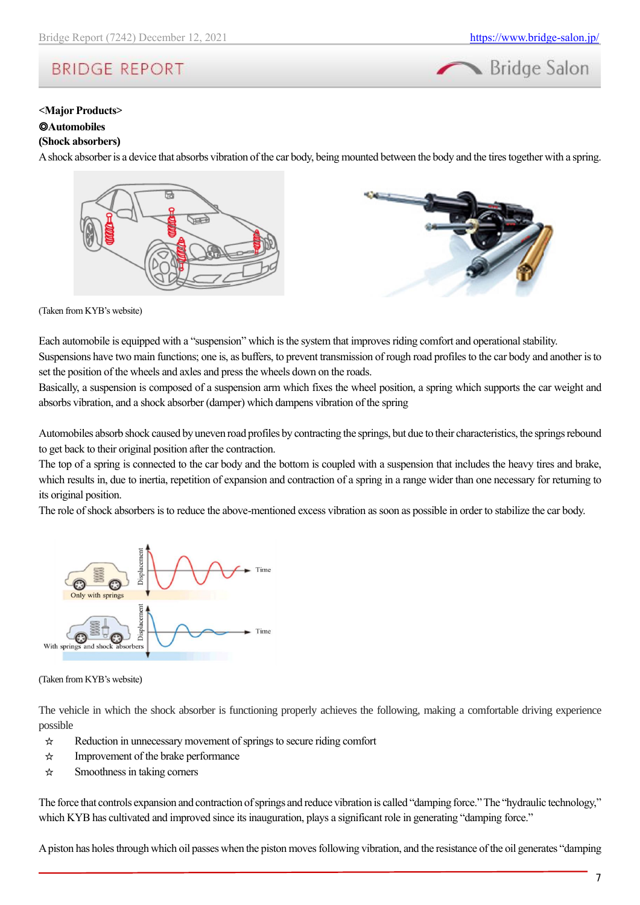

### **<Major Products>**

#### ◎**Automobiles**

#### **(Shock absorbers)**

A shock absorber is a device that absorbs vibration of the car body, being mounted between the body and the tires together with a spring.





(Taken from KYB's website)

Each automobile is equipped with a "suspension" which is the system that improves riding comfort and operational stability. Suspensions have two main functions; one is, as buffers, to prevent transmission of rough road profiles to the car body and another is to set the position of the wheels and axles and press the wheels down on the roads.

Basically, a suspension is composed of a suspension arm which fixes the wheel position, a spring which supports the car weight and absorbs vibration, and a shock absorber (damper) which dampens vibration of the spring

Automobiles absorb shock caused by uneven road profiles by contracting the springs, but due to their characteristics, the springs rebound to get back to their original position after the contraction.

The top of a spring is connected to the car body and the bottom is coupled with a suspension that includes the heavy tires and brake, which results in, due to inertia, repetition of expansion and contraction of a spring in a range wider than one necessary for returning to its original position.

The role of shock absorbers is to reduce the above-mentioned excess vibration as soon as possible in order to stabilize the car body.



(Taken from KYB's website)

The vehicle in which the shock absorber is functioning properly achieves the following, making a comfortable driving experience possible

- ☆ Reduction in unnecessary movement of springs to secure riding comfort
- ☆ Improvement of the brake performance
- ☆ Smoothness in taking corners

The force that controls expansion and contraction of springs and reduce vibration is called "damping force." The "hydraulic technology," which KYB has cultivated and improved since its inauguration, plays a significant role in generating "damping force."

A piston has holes through which oil passes when the piston moves following vibration, and the resistance of the oil generates "damping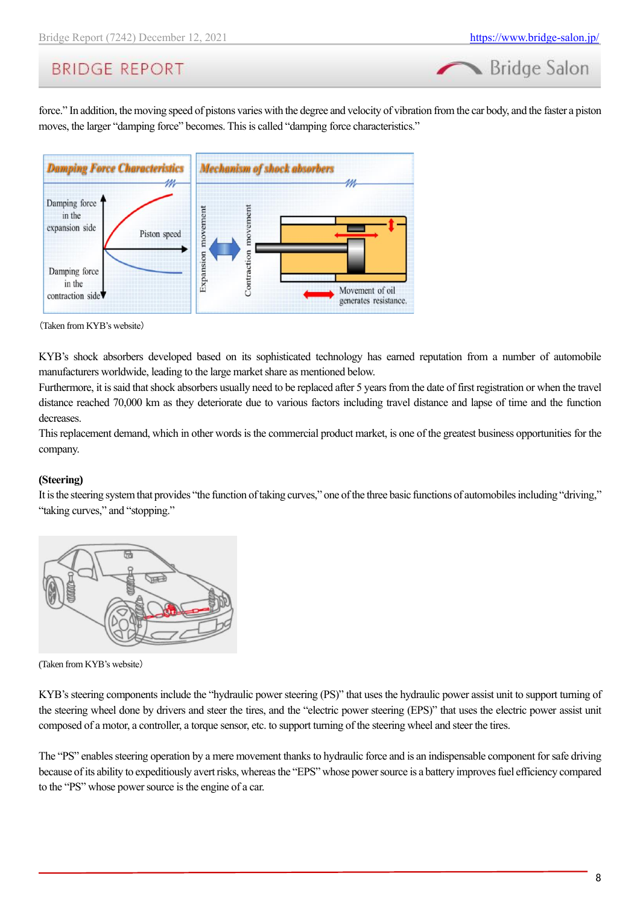

force." In addition, the moving speed of pistons varies with the degree and velocity of vibration from the car body, and the faster a piston moves, the larger "damping force" becomes. This is called "damping force characteristics."



(Taken from KYB's website)

KYB's shock absorbers developed based on its sophisticated technology has earned reputation from a number of automobile manufacturers worldwide, leading to the large market share as mentioned below.

Furthermore, it is said that shock absorbers usually need to be replaced after 5 years from the date of first registration or when the travel distance reached 70,000 km as they deteriorate due to various factors including travel distance and lapse of time and the function decreases.

This replacement demand, which in other words is the commercial product market, is one of the greatest business opportunities for the company.

### **(Steering)**

It is the steering system that provides "the function of taking curves," one of the three basic functions of automobiles including "driving," "taking curves," and "stopping."



(Taken from KYB's website)

KYB's steering components include the "hydraulic power steering (PS)" that uses the hydraulic power assist unit to support turning of the steering wheel done by drivers and steer the tires, and the "electric power steering (EPS)" that uses the electric power assist unit composed of a motor, a controller, a torque sensor, etc. to support turning of the steering wheel and steer the tires.

The "PS" enables steering operation by a mere movement thanks to hydraulic force and is an indispensable component for safe driving because of its ability to expeditiously avert risks, whereas the "EPS" whose power source is a battery improves fuel efficiency compared to the "PS" whose power source is the engine of a car.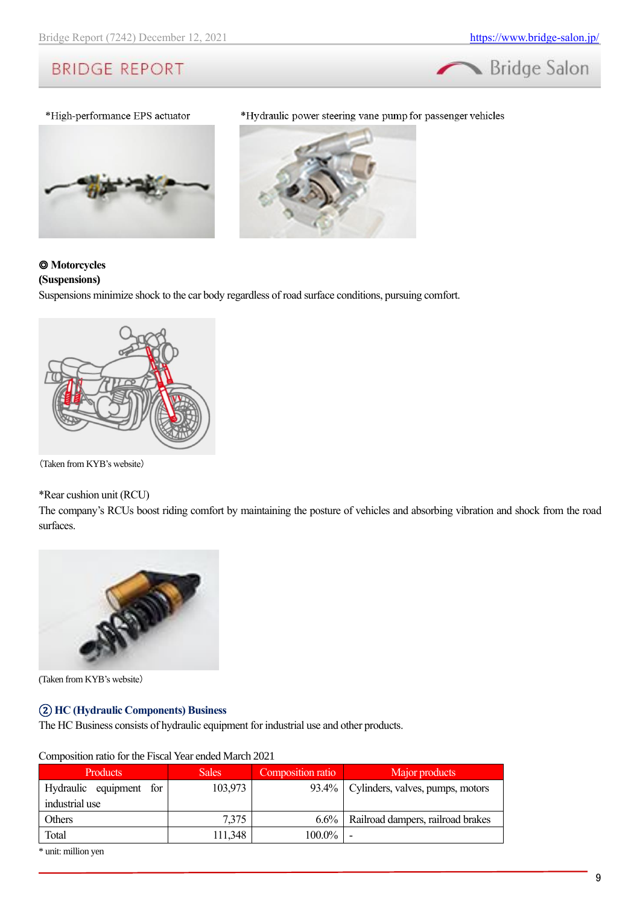

\*High-performance EPS actuator

\*Hydraulic power steering vane pump for passenger vehicles





# ◎ **Motorcycles**

#### **(Suspensions)**

Suspensions minimize shock to the car body regardless of road surface conditions, pursuing comfort.



(Taken from KYB's website)

### \*Rear cushion unit (RCU)

The company's RCUs boost riding comfort by maintaining the posture of vehicles and absorbing vibration and shock from the road surfaces.



(Taken from KYB's website)

## ②**HC (Hydraulic Components) Business**

The HC Business consists of hydraulic equipment for industrial use and other products.

|  |  | Composition ratio for the Fiscal Year ended March 2021 |
|--|--|--------------------------------------------------------|
|--|--|--------------------------------------------------------|

| <b>Products</b>         | <b>Sales</b> | Composition ratio | Major products                           |
|-------------------------|--------------|-------------------|------------------------------------------|
| Hydraulic equipment for | 103,973      |                   | 93.4%   Cylinders, valves, pumps, motors |
| industrial use          |              |                   |                                          |
| Others                  | 7,375        |                   | 6.6%   Railroad dampers, railroad brakes |
| Total                   | 11,348       | 100.0%            |                                          |

\* unit: million yen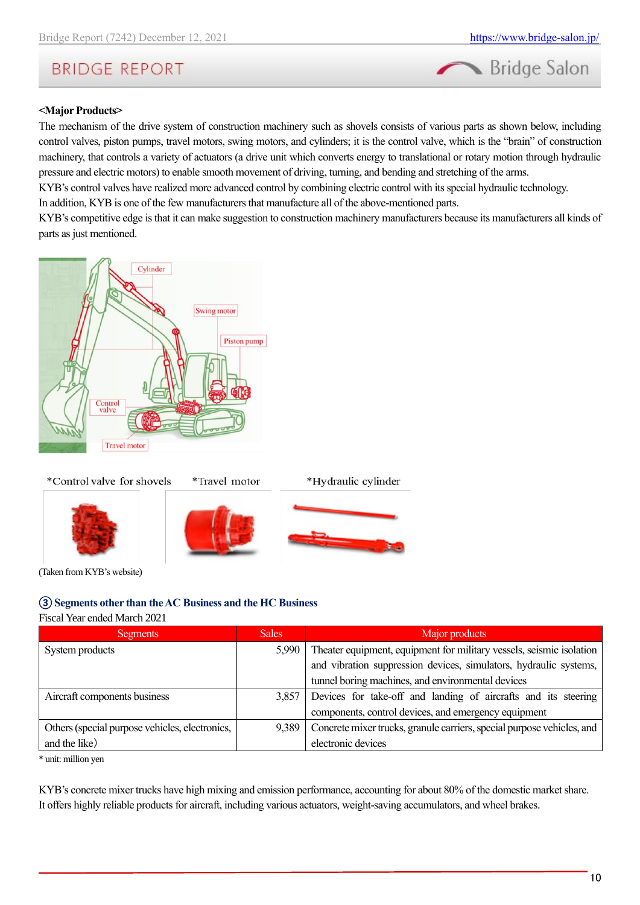

### **<Major Products>**

The mechanism of the drive system of construction machinery such as shovels consists of various parts as shown below, including control valves, piston pumps, travel motors, swing motors, and cylinders; it is the control valve, which is the "brain" of construction machinery, that controls a variety of actuators (a drive unit which converts energy to translational or rotary motion through hydraulic pressure and electric motors) to enable smooth movement of driving, turning, and bending and stretching of the arms.

KYB's control valves have realized more advanced control by combining electric control with its special hydraulic technology.

In addition, KYB is one of the few manufacturers that manufacture all of the above-mentioned parts.

KYB's competitive edge is that it can make suggestion to construction machinery manufacturers because its manufacturers all kinds of parts as just mentioned.



\*Control valve for shovels

\*Travel motor







\*Hydraulic cylinder

(Taken from KYB's website)

### ③**Segments other than the AC Business and the HC Business**

### Fiscal Year ended March 2021

| <b>Segments</b>                                | <b>Sales</b> | Major products                                                         |
|------------------------------------------------|--------------|------------------------------------------------------------------------|
| System products                                | 5,990        | Theater equipment, equipment for military vessels, seismic isolation   |
|                                                |              | and vibration suppression devices, simulators, hydraulic systems,      |
|                                                |              | tunnel boring machines, and environmental devices                      |
| Aircraft components business                   | 3,857        | Devices for take-off and landing of aircrafts and its steering         |
|                                                |              | components, control devices, and emergency equipment                   |
| Others (special purpose vehicles, electronics, | 9,389        | Concrete mixer trucks, granule carriers, special purpose vehicles, and |
| and the like)                                  |              | electronic devices                                                     |

\* unit: million yen

KYB's concrete mixer trucks have high mixing and emission performance, accounting for about 80% of the domestic market share. It offers highly reliable products for aircraft, including various actuators, weight-saving accumulators, and wheel brakes.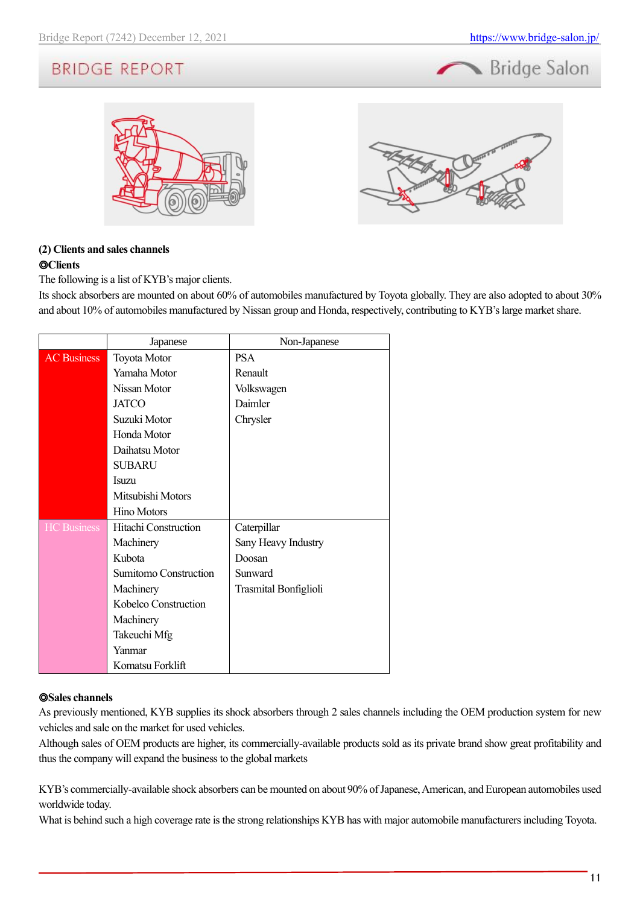





## **(2) Clients and sales channels**

### ◎**Clients**

The following is a list of KYB's major clients.

Its shock absorbers are mounted on about 60% of automobiles manufactured by Toyota globally. They are also adopted to about 30% and about 10% of automobiles manufactured by Nissan group and Honda, respectively, contributing to KYB's large market share.

|                    | Japanese              | Non-Japanese          |
|--------------------|-----------------------|-----------------------|
| <b>AC</b> Business | Toyota Motor          | <b>PSA</b>            |
|                    | Yamaha Motor          | Renault               |
|                    | Nissan Motor          | Volkswagen            |
|                    | <b>JATCO</b>          | Daimler               |
|                    | Suzuki Motor          | Chrysler              |
|                    | Honda Motor           |                       |
|                    | Daihatsu Motor        |                       |
|                    | <b>SUBARU</b>         |                       |
|                    | Isuzu                 |                       |
|                    | Mitsubishi Motors     |                       |
|                    | Hino Motors           |                       |
| <b>HC</b> Business | Hitachi Construction  | Caterpillar           |
|                    | Machinery             | Sany Heavy Industry   |
|                    | Kubota                | Doosan                |
|                    | Sumitomo Construction | Sunward               |
|                    | Machinery             | Trasmital Bonfiglioli |
|                    | Kobelco Construction  |                       |
|                    | Machinery             |                       |
|                    | Takeuchi Mfg          |                       |
|                    | Yanmar                |                       |
|                    | Komatsu Forklift      |                       |

### ◎**Sales channels**

As previously mentioned, KYB supplies its shock absorbers through 2 sales channels including the OEM production system for new vehicles and sale on the market for used vehicles.

Although sales of OEM products are higher, its commercially-available products sold as its private brand show great profitability and thus the company will expand the business to the global markets

KYB's commercially-available shock absorbers can be mounted on about 90% of Japanese, American, and European automobiles used worldwide today.

What is behind such a high coverage rate is the strong relationships KYB has with major automobile manufacturers including Toyota.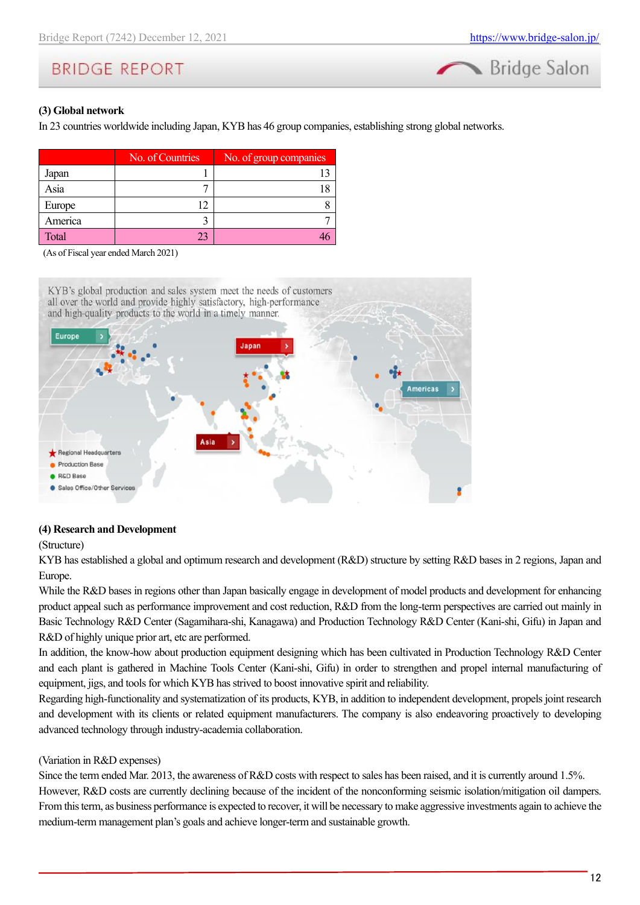

### **(3) Global network**

In 23 countries worldwide including Japan, KYB has 46 group companies, establishing strong global networks.

|         | No. of Countries | No. of group companies |
|---------|------------------|------------------------|
| Japan   |                  |                        |
| Asia    |                  |                        |
| Europe  | 12               |                        |
| America |                  |                        |
| Total   |                  |                        |

(As of Fiscal year ended March 2021)



### **(4) Research and Development**

### (Structure)

KYB has established a global and optimum research and development (R&D) structure by setting R&D bases in 2 regions, Japan and Europe.

While the R&D bases in regions other than Japan basically engage in development of model products and development for enhancing product appeal such as performance improvement and cost reduction, R&D from the long-term perspectives are carried out mainly in Basic Technology R&D Center (Sagamihara-shi, Kanagawa) and Production Technology R&D Center (Kani-shi, Gifu) in Japan and R&D of highly unique prior art, etc are performed.

In addition, the know-how about production equipment designing which has been cultivated in Production Technology R&D Center and each plant is gathered in Machine Tools Center (Kani-shi, Gifu) in order to strengthen and propel internal manufacturing of equipment, jigs, and tools for which KYB has strived to boost innovative spirit and reliability.

Regarding high-functionality and systematization of its products, KYB, in addition to independent development, propels joint research and development with its clients or related equipment manufacturers. The company is also endeavoring proactively to developing advanced technology through industry-academia collaboration.

### (Variation in R&D expenses)

Since the term ended Mar. 2013, the awareness of R&D costs with respect to sales has been raised, and it is currently around 1.5%. However, R&D costs are currently declining because of the incident of the nonconforming seismic isolation/mitigation oil dampers. From this term, as business performance is expected to recover, it will be necessary to make aggressive investments again to achieve the medium-term management plan's goals and achieve longer-term and sustainable growth.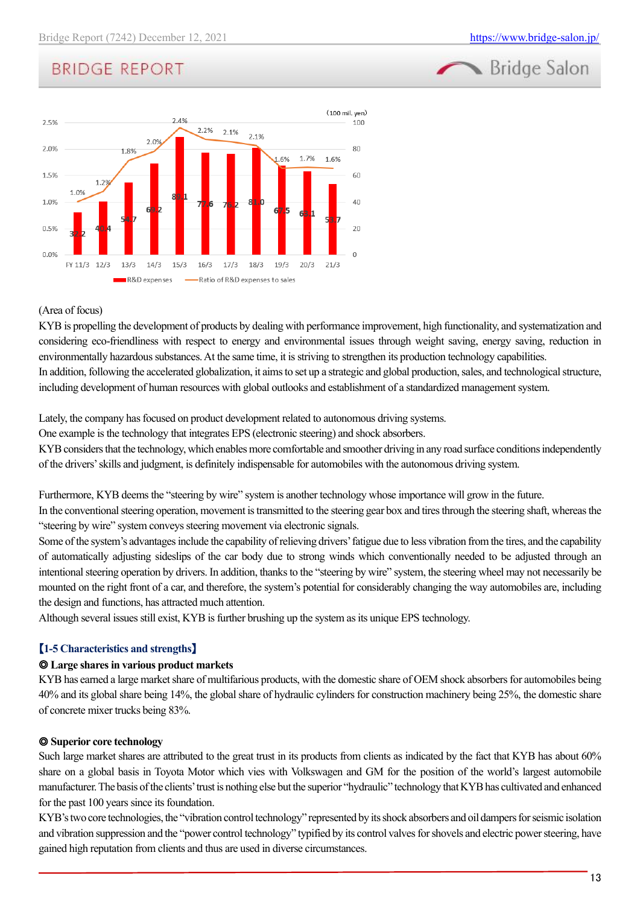# **BRIDGE REPORT**



#### (Area of focus)

KYB is propelling the development of products by dealing with performance improvement, high functionality, and systematization and considering eco-friendliness with respect to energy and environmental issues through weight saving, energy saving, reduction in environmentally hazardous substances. At the same time, it is striving to strengthen its production technology capabilities. In addition, following the accelerated globalization, it aims to set up a strategic and global production, sales, and technological structure, including development of human resources with global outlooks and establishment of a standardized management system.

Lately, the company has focused on product development related to autonomous driving systems.

One example is the technology that integrates EPS (electronic steering) and shock absorbers.

KYB considers that the technology, which enables more comfortable and smoother driving in any road surface conditions independently of the drivers' skills and judgment, is definitely indispensable for automobiles with the autonomous driving system.

Furthermore, KYB deems the "steering by wire" system is another technology whose importance will grow in the future.

In the conventional steering operation, movement is transmitted to the steering gear box and tires through the steering shaft, whereas the "steering by wire" system conveys steering movement via electronic signals.

Some of the system's advantages include the capability ofrelieving drivers' fatigue due to less vibration from the tires, and the capability of automatically adjusting sideslips of the car body due to strong winds which conventionally needed to be adjusted through an intentional steering operation by drivers. In addition, thanks to the "steering by wire" system, the steering wheel may not necessarily be mounted on the right front of a car, and therefore, the system's potential for considerably changing the way automobiles are, including the design and functions, has attracted much attention.

Although several issues still exist, KYB is further brushing up the system as its unique EPS technology.

### 【**1-5 Characteristics and strengths**】

### ◎ **Large shares in various product markets**

KYB has earned a large market share of multifarious products, with the domestic share of OEM shock absorbers for automobiles being 40% and its global share being 14%, the global share of hydraulic cylinders for construction machinery being 25%, the domestic share of concrete mixer trucks being 83%.

### ◎ **Superior core technology**

Such large market shares are attributed to the great trust in its products from clients as indicated by the fact that KYB has about 60% share on a global basis in Toyota Motor which vies with Volkswagen and GM for the position of the world's largest automobile manufacturer. The basis of the clients' trust is nothing else but the superior "hydraulic" technology that KYB has cultivated and enhanced for the past 100 years since its foundation.

KYB's two core technologies, the "vibration control technology" represented by its shock absorbers and oil dampers for seismic isolation and vibration suppression and the "power control technology" typified by its control valves for shovels and electric power steering, have gained high reputation from clients and thus are used in diverse circumstances.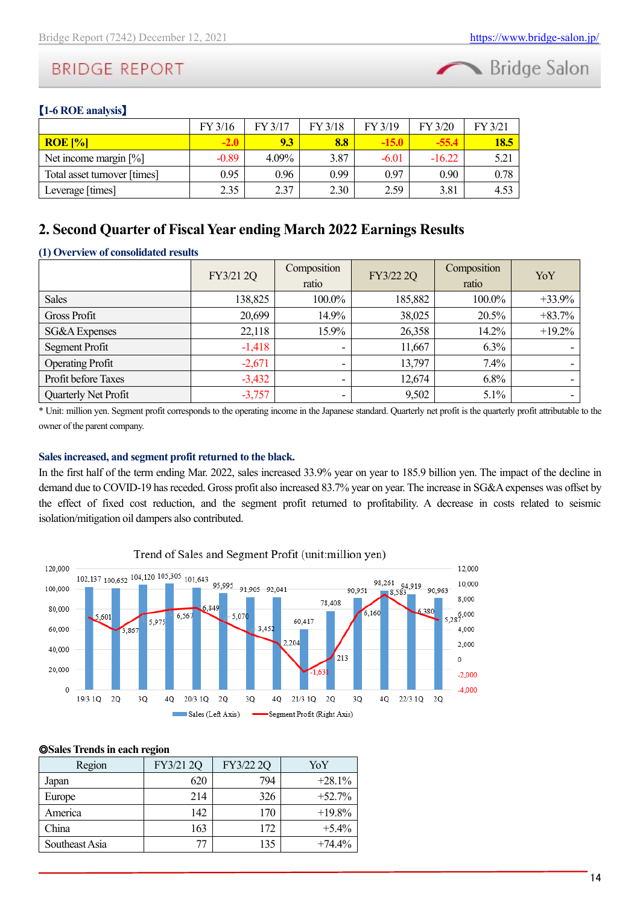

### 【**1-6 ROE analysis**】

|                              | FY 3/16 | FY 3/17 | FY 3/18 | FY 3/19 | FY 3/20  | FY 3/21 |
|------------------------------|---------|---------|---------|---------|----------|---------|
| ROE [%]                      | $-2.0$  | 9.3     | 8.8     | $-15.0$ | -55.4    | 18.5    |
| Net income margin $[\%]$     | $-0.89$ | 4.09%   | 3.87    | $-6.01$ | $-16.22$ | 5.21    |
| Total asset turnover [times] | 0.95    | 0.96    | 0.99    | 0.97    | 0.90     | 0.78    |
| Leverage [times]             | 2.35    | 2.37    | 2.30    | 2.59    | 3.81     | 4.53    |

# <span id="page-13-0"></span>**2. Second Quarter of Fiscal Year ending March 2022 Earnings Results**

### **(1) Overview of consolidated results**

|                         | FY3/21 2Q | Composition<br>ratio | FY3/22 2Q | Composition<br>ratio | YoY      |
|-------------------------|-----------|----------------------|-----------|----------------------|----------|
| <b>Sales</b>            | 138,825   | 100.0%               | 185,882   | 100.0%               | $+33.9%$ |
| <b>Gross Profit</b>     | 20,699    | 14.9%                | 38,025    | 20.5%                | $+83.7%$ |
| SG&A Expenses           | 22,118    | 15.9%                | 26,358    | 14.2%                | $+19.2%$ |
| Segment Profit          | $-1,418$  | ۰                    | 11,667    | $6.3\%$              |          |
| <b>Operating Profit</b> | $-2,671$  | ۰.                   | 13,797    | 7.4%                 |          |
| Profit before Taxes     | $-3,432$  | ۰.                   | 12,674    | $6.8\%$              |          |
| Quarterly Net Profit    | $-3,757$  | ۰                    | 9,502     | 5.1%                 |          |

\* Unit: million yen. Segment profit corresponds to the operating income in the Japanese standard. Quarterly net profit is the quarterly profit attributable to the owner of the parent company.

### **Sales increased, and segment profit returned to the black.**

In the first half of the term ending Mar. 2022, sales increased 33.9% year on year to 185.9 billion yen. The impact of the decline in demand due to COVID-19 has receded. Gross profit also increased 83.7% year on year. The increase in SG&A expenses was offset by the effect of fixed cost reduction, and the segment profit returned to profitability. A decrease in costs related to seismic isolation/mitigation oil dampers also contributed.



### Trend of Sales and Segment Profit (unit:million yen)

### ◎**Sales Trends in each region**

| Region         | FY3/21 2Q | FY3/22 2Q | YoY      |
|----------------|-----------|-----------|----------|
| Japan          | 620       | 794       | $+28.1%$ |
| Europe         | 214       | 326       | $+52.7%$ |
| America        | 142       | 170       | $+19.8%$ |
| China          | 163       | 172       | $+5.4%$  |
| Southeast Asia | 77        | 135       | $+74.4%$ |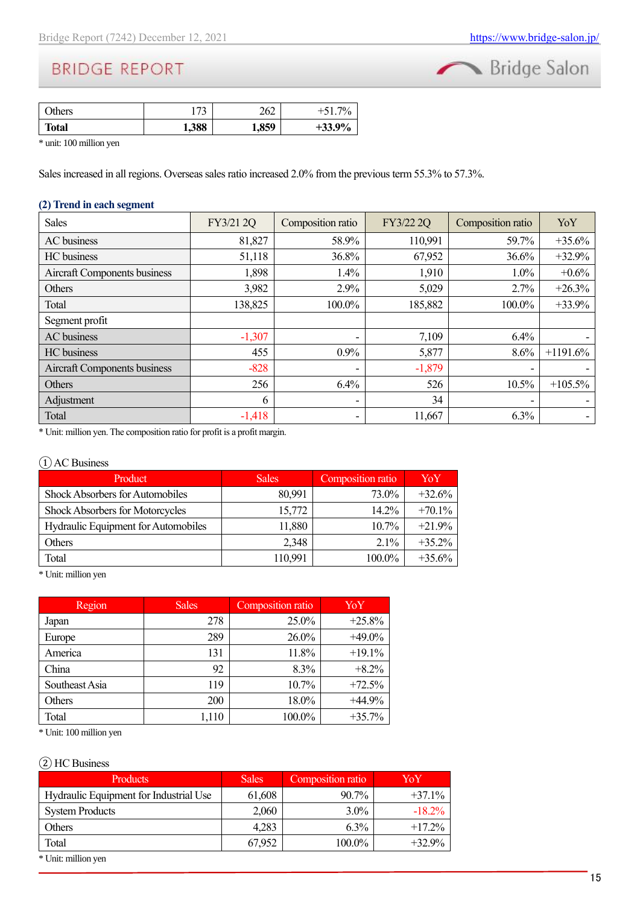

| <b>Others</b> | $\mathbf{a}$<br>1 I J | 262   | $7\%$    |
|---------------|-----------------------|-------|----------|
| <b>Total</b>  | 1,388                 | 1,859 | $+33.9%$ |

\* unit: 100 million yen

Sales increased in all regions. Overseas sales ratio increased 2.0% from the previous term 55.3% to 57.3%.

#### **(2) Trend in each segment**

| <b>Sales</b>                        | FY3/21 2Q | Composition ratio        | FY3/22 2Q | Composition ratio | YoY        |
|-------------------------------------|-----------|--------------------------|-----------|-------------------|------------|
| AC business                         | 81,827    | 58.9%                    | 110,991   | 59.7%             | $+35.6%$   |
| HC business                         | 51,118    | 36.8%                    | 67,952    | 36.6%             | $+32.9%$   |
| <b>Aircraft Components business</b> | 1,898     | 1.4%                     | 1,910     | $1.0\%$           | $+0.6%$    |
| Others                              | 3,982     | 2.9%                     | 5,029     | 2.7%              | $+26.3%$   |
| Total                               | 138,825   | 100.0%                   | 185,882   | 100.0%            | $+33.9%$   |
| Segment profit                      |           |                          |           |                   |            |
| AC business                         | $-1,307$  |                          | 7,109     | 6.4%              |            |
| HC business                         | 455       | 0.9%                     | 5,877     | 8.6%              | $+1191.6%$ |
| <b>Aircraft Components business</b> | $-828$    | $\overline{\phantom{0}}$ | $-1,879$  | ۰                 |            |
| Others                              | 256       | 6.4%                     | 526       | 10.5%             | $+105.5%$  |
| Adjustment                          | 6         | $\overline{\phantom{0}}$ | 34        | ۰                 |            |
| Total                               | $-1,418$  | ۰                        | 11,667    | 6.3%              |            |

\* Unit: million yen. The composition ratio for profit is a profit margin.

### ①AC Business

| Product                             | <b>Sales</b> | Composition ratio | YoY      |
|-------------------------------------|--------------|-------------------|----------|
| Shock Absorbers for Automobiles     | 80,991       | 73.0%             | $+32.6%$ |
| Shock Absorbers for Motorcycles     | 15,772       | $14.2\%$          | $+70.1%$ |
| Hydraulic Equipment for Automobiles | 11,880       | 10.7%             | $+21.9%$ |
| Others                              | 2,348        | $2.1\%$           | $+35.2%$ |
| Total                               | 110,991      | 100.0%            | $+35.6%$ |

\* Unit: million yen

| Region         | <b>Sales</b> | Composition ratio | YoY      |
|----------------|--------------|-------------------|----------|
| Japan          | 278          | 25.0%             | $+25.8%$ |
| Europe         | 289          | 26.0%             | $+49.0%$ |
| America        | 131          | 11.8%             | $+19.1%$ |
| China          | 92           | 8.3%              | $+8.2%$  |
| Southeast Asia | 119          | 10.7%             | $+72.5%$ |
| Others         | 200          | 18.0%             | $+44.9%$ |
| Total          | 1,110        | 100.0%            | $+35.7%$ |

\* Unit: 100 million yen

### ②HC Business

| <b>Sales</b> | Composition ratio | YoY       |
|--------------|-------------------|-----------|
| 61,608       | $90.7\%$          | $+37.1%$  |
| 2,060        | $3.0\%$           | $-18.2\%$ |
| 4,283        | $6.3\%$           | $+17.2%$  |
| 67,952       | 100.0%            | $+32.9%$  |
|              |                   |           |

\* Unit: million yen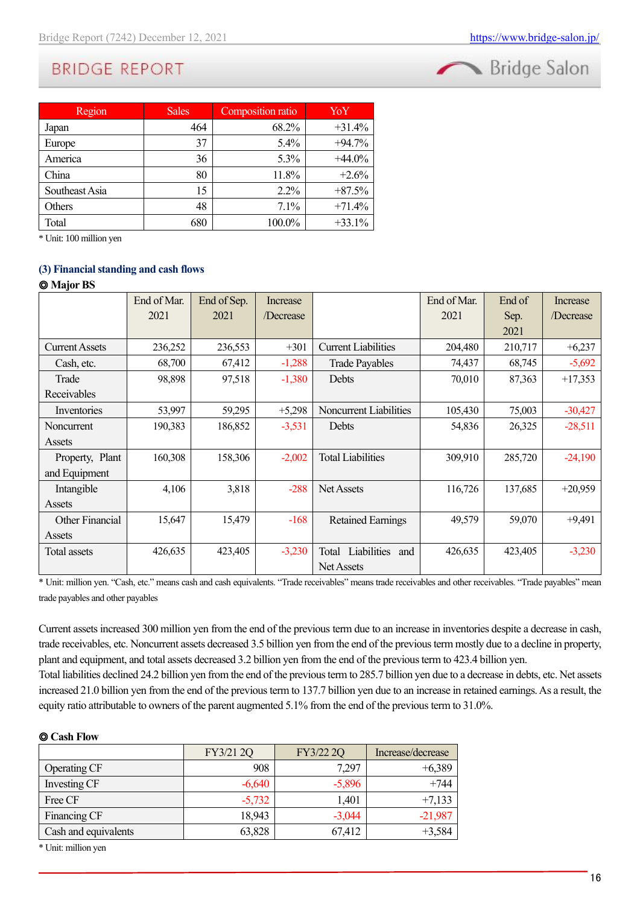

| Region         | <b>Sales</b> | Composition ratio | YoY      |
|----------------|--------------|-------------------|----------|
| Japan          | 464          | 68.2%             | $+31.4%$ |
| Europe         | 37           | 5.4%              | $+94.7%$ |
| America        | 36           | 5.3%              | $+44.0%$ |
| China          | 80           | 11.8%             | $+2.6%$  |
| Southeast Asia | 15           | $2.2\%$           | $+87.5%$ |
| Others         | 48           | 7.1%              | $+71.4%$ |
| Total          | 680          | 100.0%            | $+33.1%$ |

\* Unit: 100 million yen

### **(3) Financial standing and cash flows**

#### ◎ **Major BS**

|                        | End of Mar. | End of Sep. | Increase |                            | End of Mar. | End of  | Increase  |
|------------------------|-------------|-------------|----------|----------------------------|-------------|---------|-----------|
|                        | 2021        | 2021        | Decrease |                            | 2021        | Sep.    | Decrease  |
|                        |             |             |          |                            |             | 2021    |           |
| <b>Current Assets</b>  | 236,252     | 236,553     | $+301$   | <b>Current Liabilities</b> | 204,480     | 210,717 | $+6,237$  |
| Cash, etc.             | 68,700      | 67,412      | $-1,288$ | <b>Trade Payables</b>      | 74,437      | 68,745  | $-5,692$  |
| Trade                  | 98,898      | 97,518      | $-1,380$ | Debts                      | 70,010      | 87,363  | $+17,353$ |
| Receivables            |             |             |          |                            |             |         |           |
| Inventories            | 53,997      | 59,295      | $+5,298$ | Noncurrent Liabilities     | 105,430     | 75,003  | $-30,427$ |
| Noncurrent             | 190,383     | 186,852     | $-3,531$ | Debts                      | 54,836      | 26,325  | $-28,511$ |
| Assets                 |             |             |          |                            |             |         |           |
| Property, Plant        | 160,308     | 158,306     | $-2,002$ | <b>Total Liabilities</b>   | 309,910     | 285,720 | $-24,190$ |
| and Equipment          |             |             |          |                            |             |         |           |
| Intangible             | 4,106       | 3,818       | $-288$   | Net Assets                 | 116,726     | 137,685 | $+20,959$ |
| Assets                 |             |             |          |                            |             |         |           |
| <b>Other Financial</b> | 15,647      | 15,479      | $-168$   | <b>Retained Earnings</b>   | 49,579      | 59,070  | $+9,491$  |
| Assets                 |             |             |          |                            |             |         |           |
| Total assets           | 426,635     | 423,405     | $-3,230$ | Total Liabilities<br>and   | 426,635     | 423,405 | $-3,230$  |
|                        |             |             |          | Net Assets                 |             |         |           |

\* Unit: million yen. "Cash, etc." means cash and cash equivalents. "Trade receivables" means trade receivables and other receivables. "Trade payables" mean trade payables and other payables

Current assets increased 300 million yen from the end of the previous term due to an increase in inventories despite a decrease in cash, trade receivables, etc. Noncurrent assets decreased 3.5 billion yen from the end of the previous term mostly due to a decline in property, plant and equipment, and total assets decreased 3.2 billion yen from the end of the previous term to 423.4 billion yen.

Total liabilities declined 24.2 billion yen from the end of the previous term to 285.7 billion yen due to a decrease in debts, etc. Net assets increased 21.0 billion yen from the end of the previous term to 137.7 billion yen due to an increase in retained earnings. As a result, the equity ratio attributable to owners of the parent augmented 5.1% from the end of the previous term to 31.0%.

#### ◎ **Cash Flow**

|                      | FY3/21 2Q | FY3/22 2Q | Increase/decrease |
|----------------------|-----------|-----------|-------------------|
| Operating CF         | 908       | 7,297     | $+6,389$          |
| Investing CF         | $-6,640$  | $-5,896$  | $+744$            |
| Free CF              | $-5,732$  | 1,401     | $+7,133$          |
| Financing CF         | 18,943    | $-3,044$  | $-21,987$         |
| Cash and equivalents | 63,828    | 67,412    | $+3,584$          |
|                      |           |           |                   |

Unit: million yen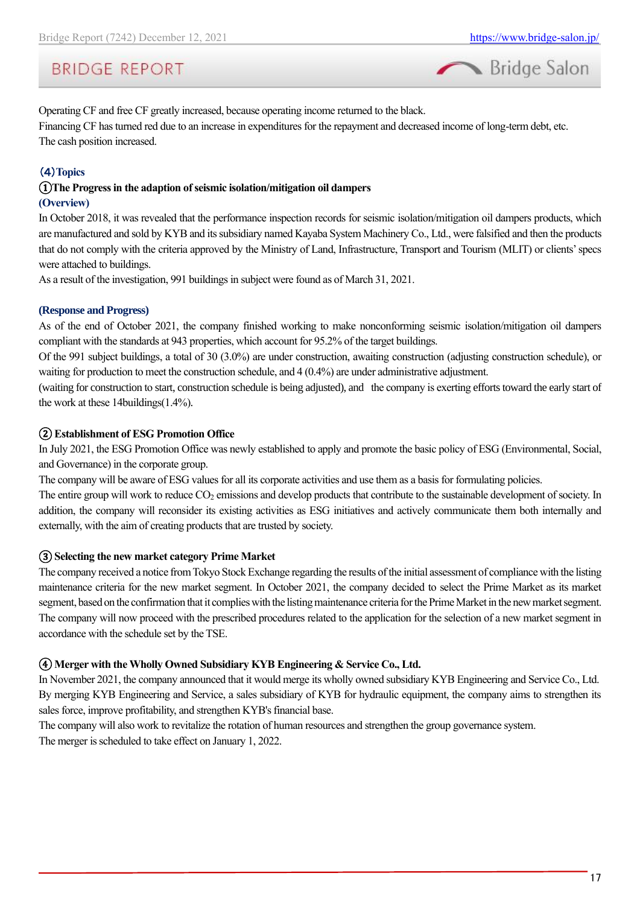# **BRIDGE REPORT**

Operating CF and free CF greatly increased, because operating income returned to the black.

Financing CF has turned red due to an increase in expenditures for the repayment and decreased income of long-term debt, etc. The cash position increased.

## (4)**Topics**

#### ①**The Progress in the adaption of seismic isolation/mitigation oil dampers (Overview)**

In October 2018, it was revealed that the performance inspection records for seismic isolation/mitigation oil dampers products, which are manufactured and sold by KYB and its subsidiary named Kayaba System Machinery Co., Ltd., were falsified and then the products that do not comply with the criteria approved by the Ministry of Land, Infrastructure, Transport and Tourism (MLIT) or clients' specs were attached to buildings.

As a result of the investigation, 991 buildings in subject were found as of March 31, 2021.

### **(Response and Progress)**

As of the end of October 2021, the company finished working to make nonconforming seismic isolation/mitigation oil dampers compliant with the standards at 943 properties, which account for 95.2% of the target buildings.

Of the 991 subject buildings, a total of 30 (3.0%) are under construction, awaiting construction (adjusting construction schedule), or waiting for production to meet the construction schedule, and 4 (0.4%) are under administrative adjustment.

(waiting for construction to start, construction schedule is being adjusted), and the company is exerting efforts toward the early start of the work at these 14buildings(1.4%).

### ②**Establishment of ESG Promotion Office**

In July 2021, the ESG Promotion Office was newly established to apply and promote the basic policy of ESG (Environmental, Social, and Governance) in the corporate group.

The company will be aware of ESG values for all its corporate activities and use them as a basis for formulating policies.

The entire group will work to reduce CO<sub>2</sub> emissions and develop products that contribute to the sustainable development of society. In addition, the company will reconsider its existing activities as ESG initiatives and actively communicate them both internally and externally, with the aim of creating products that are trusted by society.

### ③**Selecting the new market category Prime Market**

The company received a notice from Tokyo Stock Exchange regarding the results of the initial assessment of compliance with the listing maintenance criteria for the new market segment. In October 2021, the company decided to select the Prime Market as its market segment, based on the confirmation that it complies with the listing maintenance criteria for the Prime Market in the new market segment. The company will now proceed with the prescribed procedures related to the application for the selection of a new market segment in accordance with the schedule set by the TSE.

### ④**Merger with the Wholly Owned Subsidiary KYB Engineering & Service Co., Ltd.**

In November 2021, the company announced that it would merge its wholly owned subsidiary KYB Engineering and Service Co., Ltd. By merging KYB Engineering and Service, a sales subsidiary of KYB for hydraulic equipment, the company aims to strengthen its sales force, improve profitability, and strengthen KYB's financial base.

The company will also work to revitalize the rotation of human resources and strengthen the group governance system. The merger is scheduled to take effect on January 1, 2022.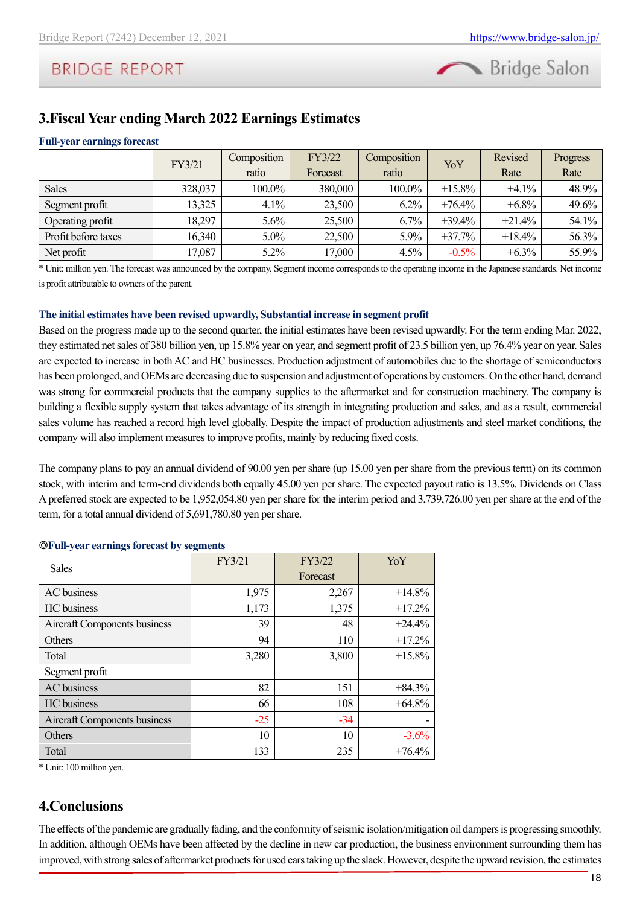

# <span id="page-17-0"></span>**3.Fiscal Year ending March 2022 Earnings Estimates**

### **Full-year earnings forecast**

|                     | FY3/21  | Composition | FY3/22   | Composition | YoY       | Revised  | Progress |
|---------------------|---------|-------------|----------|-------------|-----------|----------|----------|
|                     |         | ratio       | Forecast | ratio       |           | Rate     | Rate     |
| <b>Sales</b>        | 328,037 | 100.0%      | 380,000  | 100.0%      | $+15.8\%$ | $+4.1%$  | 48.9%    |
| Segment profit      | 13,325  | 4.1%        | 23,500   | $6.2\%$     | $+76.4%$  | $+6.8\%$ | 49.6%    |
| Operating profit    | 18,297  | $5.6\%$     | 25,500   | 6.7%        | $+39.4%$  | $+21.4%$ | 54.1%    |
| Profit before taxes | 16,340  | $5.0\%$     | 22,500   | 5.9%        | $+37.7%$  | $+18.4%$ | 56.3%    |
| Net profit          | 17,087  | $5.2\%$     | 17,000   | 4.5%        | $-0.5\%$  | $+6.3\%$ | 55.9%    |

\* Unit: million yen. The forecast was announced by the company. Segment income corresponds to the operating income in the Japanese standards. Net income is profit attributable to owners of the parent.

### **The initial estimates have been revised upwardly, Substantial increase in segment profit**

Based on the progress made up to the second quarter, the initial estimates have been revised upwardly. For the term ending Mar. 2022, they estimated net sales of 380 billion yen, up 15.8% year on year, and segment profit of 23.5 billion yen, up 76.4% year on year. Sales are expected to increase in both AC and HC businesses. Production adjustment of automobiles due to the shortage of semiconductors has been prolonged, and OEMs are decreasing due to suspension and adjustment of operations by customers. On the other hand, demand was strong for commercial products that the company supplies to the aftermarket and for construction machinery. The company is building a flexible supply system that takes advantage of its strength in integrating production and sales, and as a result, commercial sales volume has reached a record high level globally. Despite the impact of production adjustments and steel market conditions, the company will also implement measures to improve profits, mainly by reducing fixed costs.

The company plans to pay an annual dividend of 90.00 yen per share (up 15.00 yen per share from the previous term) on its common stock, with interim and term-end dividends both equally 45.00 yen per share. The expected payout ratio is 13.5%. Dividends on Class A preferred stock are expected to be 1,952,054.80 yen per share for the interim period and 3,739,726.00 yen per share at the end of the term, for a total annual dividend of 5,691,780.80 yen per share.

|                                     | -<br>FY3/21 | FY3/22   | YoY       |
|-------------------------------------|-------------|----------|-----------|
| <b>Sales</b>                        |             | Forecast |           |
| AC business                         | 1,975       | 2,267    | $+14.8%$  |
| HC business                         | 1,173       | 1,375    | $+17.2%$  |
| <b>Aircraft Components business</b> | 39          | 48       | $+24.4%$  |
| Others                              | 94          | 110      | $+17.2%$  |
| Total                               | 3,280       | 3,800    | $+15.8%$  |
| Segment profit                      |             |          |           |
| AC business                         | 82          | 151      | $+84.3%$  |
| HC business                         | 66          | 108      | $+64.8\%$ |
| <b>Aircraft Components business</b> | $-25$       | $-34$    |           |
| Others                              | 10          | 10       | $-3.6%$   |
| Total                               | 133         | 235      | $+76.4%$  |

#### ◎**Full-year earnings forecast by segments**

\* Unit: 100 million yen.

## <span id="page-17-1"></span>**4.Conclusions**

The effects of the pandemic are gradually fading, and the conformity of seismic isolation/mitigation oil dampers is progressing smoothly. In addition, although OEMs have been affected by the decline in new car production, the business environment surrounding them has improved, with strong sales of aftermarket products for used cars taking up the slack. However, despite the upward revision, the estimates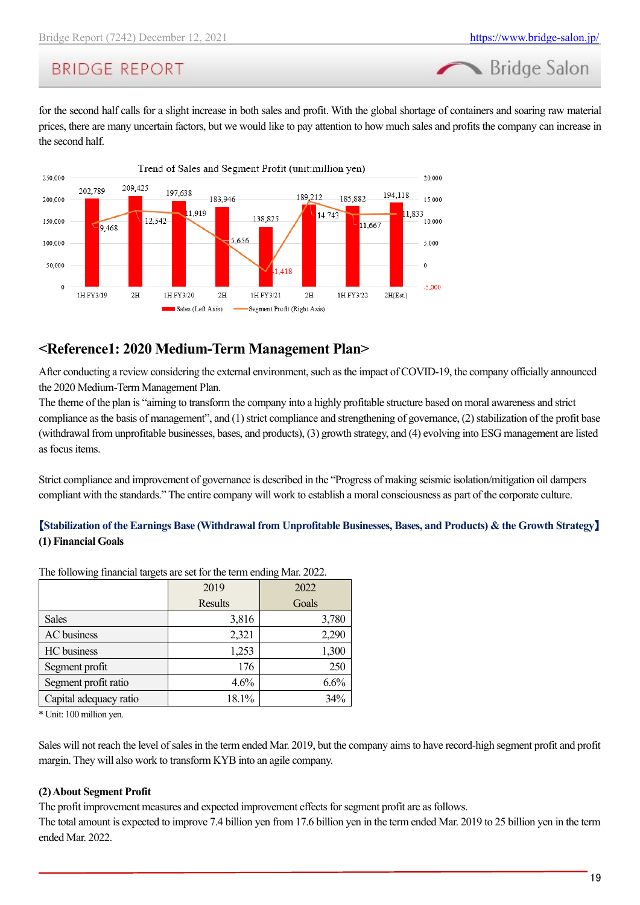# **BRIDGE REPORT**

for the second half calls for a slight increase in both sales and profit. With the global shortage of containers and soaring raw material prices, there are many uncertain factors, but we would like to pay attention to how much sales and profits the company can increase in the second half.



# <span id="page-18-0"></span>**<Reference1: 2020 Medium-Term Management Plan>**

After conducting a review considering the external environment, such as the impact of COVID-19, the company officially announced the 2020 Medium-Term Management Plan.

The theme of the plan is "aiming to transform the company into a highly profitable structure based on moral awareness and strict compliance as the basis of management", and (1) strict compliance and strengthening of governance, (2) stabilization of the profit base (withdrawal from unprofitable businesses, bases, and products), (3) growth strategy, and (4) evolving into ESG management are listed as focus items.

Strict compliance and improvement of governance is described in the "Progress of making seismic isolation/mitigation oil dampers compliant with the standards." The entire company will work to establish a moral consciousness as part of the corporate culture.

## 【**Stabilization of the Earnings Base (Withdrawal from Unprofitable Businesses, Bases, and Products) & the Growth Strategy**】 **(1) Financial Goals**

The following financial targets are set for the term ending Mar. 2022.

|                        | 2019    | 2022  |
|------------------------|---------|-------|
|                        | Results | Goals |
| <b>Sales</b>           | 3,816   | 3,780 |
| AC business            | 2,321   | 2,290 |
| HC business            | 1,253   | 1,300 |
| Segment profit         | 176     | 250   |
| Segment profit ratio   | 4.6%    | 6.6%  |
| Capital adequacy ratio | 18.1%   | 34%   |

\* Unit: 100 million yen.

Sales will not reach the level of sales in the term ended Mar. 2019, but the company aims to have record-high segment profit and profit margin. They will also work to transform KYB into an agile company.

### **(2) About Segment Profit**

The profit improvement measures and expected improvement effects for segment profit are as follows.

The total amount is expected to improve 7.4 billion yen from 17.6 billion yen in the term ended Mar. 2019 to 25 billion yen in the term ended Mar. 2022.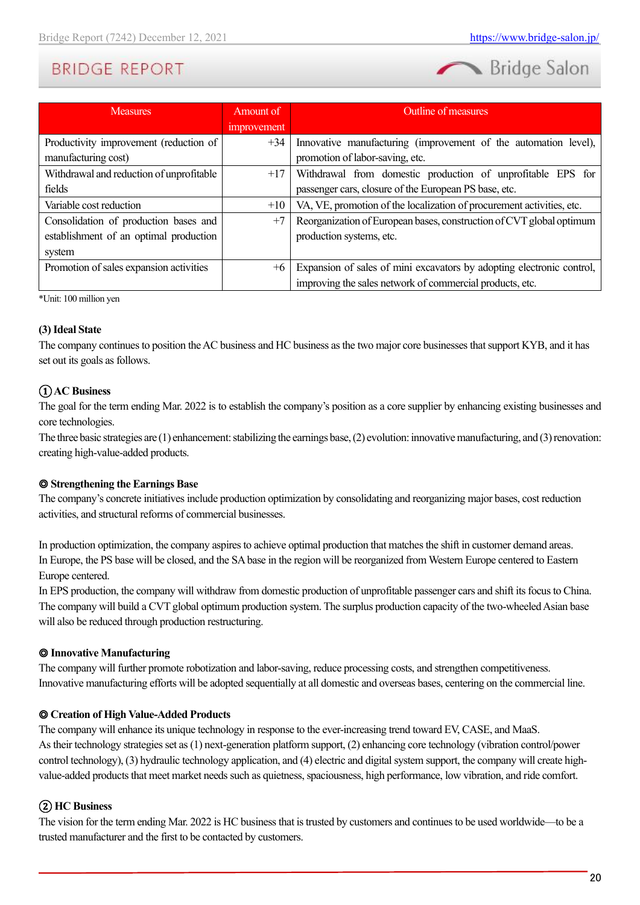

| <b>Measures</b>                          | Amount of   | Outline of measures                                                   |
|------------------------------------------|-------------|-----------------------------------------------------------------------|
|                                          | improvement |                                                                       |
| Productivity improvement (reduction of   | $+34$       | Innovative manufacturing (improvement of the automation level),       |
| manufacturing cost)                      |             | promotion of labor-saving, etc.                                       |
| Withdrawal and reduction of unprofitable | $+17$       | Withdrawal from domestic production of unprofitable EPS for           |
| fields                                   |             | passenger cars, closure of the European PS base, etc.                 |
| Variable cost reduction                  | $+10$       | VA, VE, promotion of the localization of procurement activities, etc. |
| Consolidation of production bases and    | $+7$        | Reorganization of European bases, construction of CVT global optimum  |
| establishment of an optimal production   |             | production systems, etc.                                              |
| system                                   |             |                                                                       |
| Promotion of sales expansion activities  | $+6$        | Expansion of sales of mini excavators by adopting electronic control, |
|                                          |             | improving the sales network of commercial products, etc.              |

\*Unit: 100 million yen

### **(3) Ideal State**

The company continues to position the AC business and HC business as the two major core businesses that support KYB, and it has set out its goals as follows.

## ①**AC Business**

The goal for the term ending Mar. 2022 is to establish the company's position as a core supplier by enhancing existing businesses and core technologies.

The three basic strategies are (1) enhancement: stabilizing the earnings base, (2) evolution: innovative manufacturing, and (3) renovation: creating high-value-added products.

### ◎ **Strengthening the Earnings Base**

The company's concrete initiatives include production optimization by consolidating and reorganizing major bases, cost reduction activities, and structural reforms of commercial businesses.

In production optimization, the company aspires to achieve optimal production that matches the shift in customer demand areas. In Europe, the PS base will be closed, and the SA base in the region will be reorganized from Western Europe centered to Eastern Europe centered.

In EPS production, the company will withdraw from domestic production of unprofitable passenger cars and shift its focus to China. The company will build a CVT global optimum production system. The surplus production capacity of the two-wheeled Asian base will also be reduced through production restructuring.

### ◎ **Innovative Manufacturing**

The company will further promote robotization and labor-saving, reduce processing costs, and strengthen competitiveness. Innovative manufacturing efforts will be adopted sequentially at all domestic and overseas bases, centering on the commercial line.

### ◎ **Creation of High Value-Added Products**

The company will enhance its unique technology in response to the ever-increasing trend toward EV, CASE, and MaaS. As their technology strategies set as (1) next-generation platform support, (2) enhancing core technology (vibration control/power control technology), (3) hydraulic technology application, and (4) electric and digital system support, the company will create highvalue-added products that meet market needs such as quietness, spaciousness, high performance, low vibration, and ride comfort.

## ②**HC Business**

The vision for the term ending Mar. 2022 is HC business that is trusted by customers and continues to be used worldwide—to be a trusted manufacturer and the first to be contacted by customers.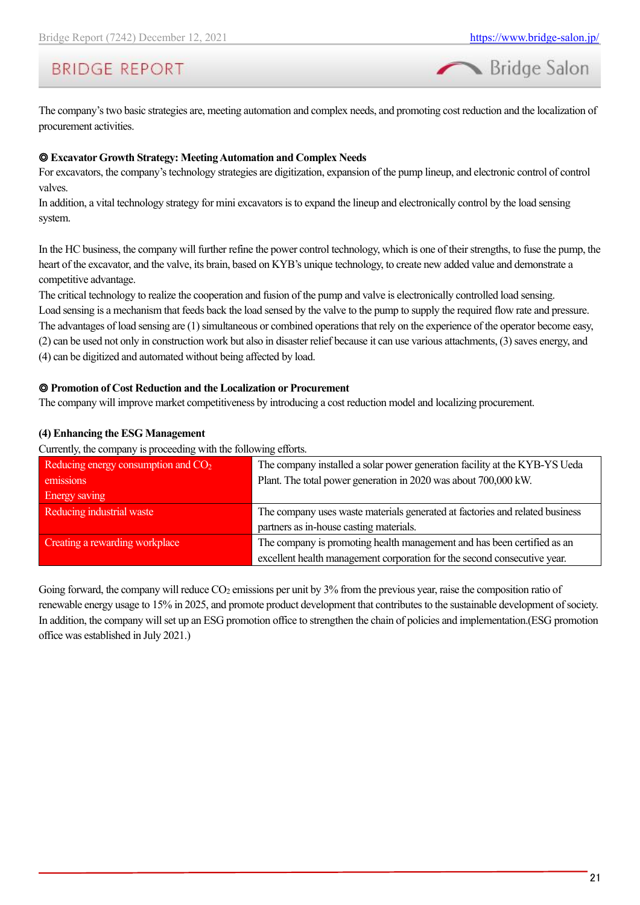# **BRIDGE REPORT**

The company's two basic strategies are, meeting automation and complex needs, and promoting cost reduction and the localization of procurement activities.

#### ◎ **Excavator Growth Strategy: Meeting Automation and Complex Needs**

For excavators, the company's technology strategies are digitization, expansion of the pump lineup, and electronic control of control valves.

In addition, a vital technology strategy for mini excavators is to expand the lineup and electronically control by the load sensing system.

In the HC business, the company will further refine the power control technology, which is one of their strengths, to fuse the pump, the heart of the excavator, and the valve, its brain, based on KYB's unique technology, to create new added value and demonstrate a competitive advantage.

The critical technology to realize the cooperation and fusion of the pump and valve is electronically controlled load sensing.

Load sensing is a mechanism that feeds back the load sensed by the valve to the pump to supply the required flow rate and pressure. The advantages of load sensing are (1) simultaneous or combined operations that rely on the experience of the operator become easy, (2) can be used not only in construction work but also in disaster relief because it can use various attachments, (3) saves energy, and (4) can be digitized and automated without being affected by load.

### ◎ **Promotion of Cost Reduction and the Localization or Procurement**

The company will improve market competitiveness by introducing a cost reduction model and localizing procurement.

#### **(4) Enhancing the ESG Management**

Currently, the company is proceeding with the following efforts.

| Reducing energy consumption and CO <sub>2</sub> | The company installed a solar power generation facility at the KYB-YS Ueda   |  |
|-------------------------------------------------|------------------------------------------------------------------------------|--|
| emissions                                       | Plant. The total power generation in 2020 was about 700,000 kW.              |  |
| Energy saving                                   |                                                                              |  |
| Reducing industrial waste                       | The company uses waste materials generated at factories and related business |  |
|                                                 | partners as in-house casting materials.                                      |  |
| Creating a rewarding workplace                  | The company is promoting health management and has been certified as an      |  |
|                                                 | excellent health management corporation for the second consecutive year.     |  |

<span id="page-20-0"></span>Going forward, the company will reduce  $CO_2$  emissions per unit by 3% from the previous year, raise the composition ratio of renewable energy usage to 15% in 2025, and promote product development that contributes to the sustainable development of society. In addition, the company will set up an ESG promotion office to strengthen the chain of policies and implementation.(ESG promotion office was established in July 2021.)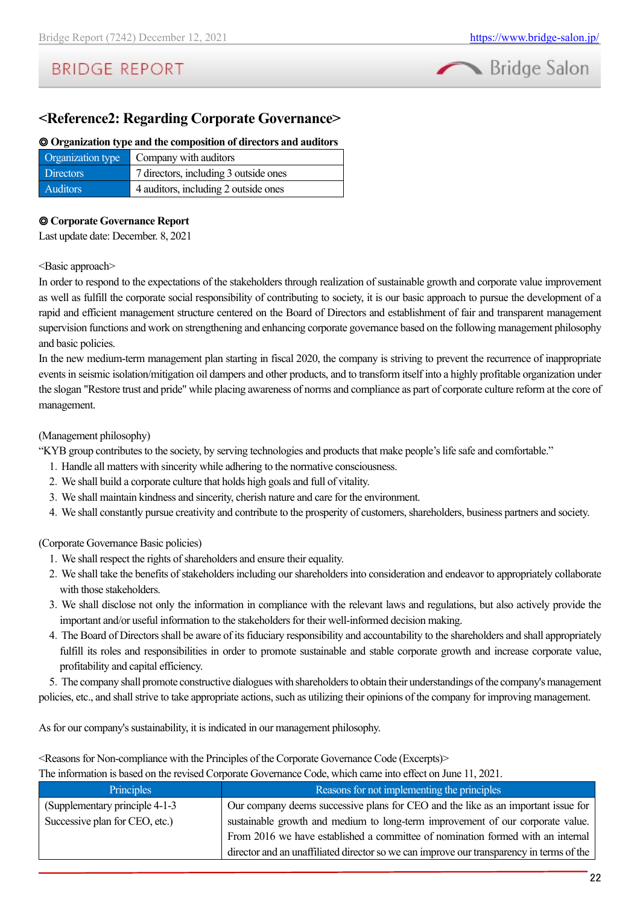

# **<Reference2: Regarding Corporate Governance>**

### ◎ **Organization type and the composition of directors and auditors**

| Organization type | Company with auditors                 |
|-------------------|---------------------------------------|
| <b>Directors</b>  | 7 directors, including 3 outside ones |
| <b>Auditors</b>   | 4 auditors, including 2 outside ones  |

## ◎ **Corporate Governance Report**

Last update date: December. 8, 2021

## <Basic approach>

In order to respond to the expectations of the stakeholders through realization of sustainable growth and corporate value improvement as well as fulfill the corporate social responsibility of contributing to society, it is our basic approach to pursue the development of a rapid and efficient management structure centered on the Board of Directors and establishment of fair and transparent management supervision functions and work on strengthening and enhancing corporate governance based on the following management philosophy and basic policies.

In the new medium-term management plan starting in fiscal 2020, the company is striving to prevent the recurrence of inappropriate events in seismic isolation/mitigation oil dampers and other products, and to transform itself into a highly profitable organization under the slogan "Restore trust and pride" while placing awareness of norms and compliance as part of corporate culture reform at the core of management.

### (Management philosophy)

"KYB group contributes to the society, by serving technologies and products that make people's life safe and comfortable."

- 1.Handle all matters with sincerity while adhering to the normative consciousness.
- 2.We shall build a corporate culture that holds high goals and full of vitality.
- 3.We shall maintain kindness and sincerity, cherish nature and care for the environment.
- 4.We shall constantly pursue creativity and contribute to the prosperity of customers, shareholders, business partners and society.

### (Corporate Governance Basic policies)

- 1.We shall respect the rights of shareholders and ensure their equality.
- 2.We shall take the benefits of stakeholders including our shareholders into consideration and endeavor to appropriately collaborate with those stakeholders.
- 3.We shall disclose not only the information in compliance with the relevant laws and regulations, but also actively provide the important and/or useful information to the stakeholders for their well-informed decision making.
- 4.The Board of Directors shall be aware of its fiduciary responsibility and accountability to the shareholders and shall appropriately fulfill its roles and responsibilities in order to promote sustainable and stable corporate growth and increase corporate value, profitability and capital efficiency.

5.The company shall promote constructive dialogues with shareholders to obtain their understandings of the company's management policies, etc., and shall strive to take appropriate actions, such as utilizing their opinions of the company for improving management.

As for our company's sustainability, it is indicated in our management philosophy.

<Reasons for Non-compliance with the Principles of the Corporate Governance Code (Excerpts)>

The information is based on the revised Corporate Governance Code, which came into effect on June 11, 2021.

| Principles                      | Reasons for not implementing the principles                                              |
|---------------------------------|------------------------------------------------------------------------------------------|
| (Supplementary principle 4-1-3) | Our company deems successive plans for CEO and the like as an important issue for        |
| Successive plan for CEO, etc.)  | sustainable growth and medium to long-term improvement of our corporate value.           |
|                                 | From 2016 we have established a committee of nomination formed with an internal          |
|                                 | director and an unaffiliated director so we can improve our transparency in terms of the |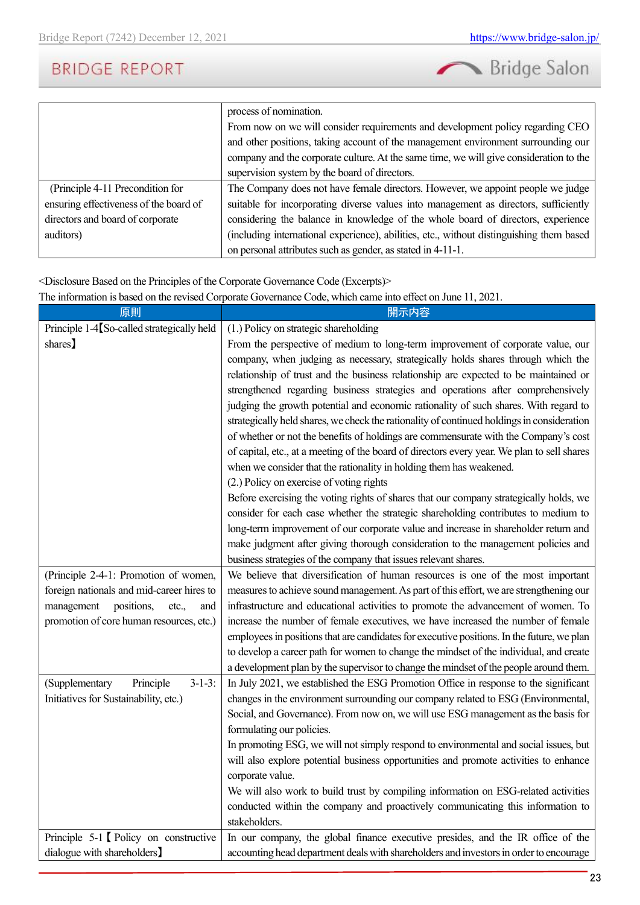

|                                        | process of nomination.                                                                   |
|----------------------------------------|------------------------------------------------------------------------------------------|
|                                        | From now on we will consider requirements and development policy regarding CEO           |
|                                        | and other positions, taking account of the management environment surrounding our        |
|                                        | company and the corporate culture. At the same time, we will give consideration to the   |
|                                        | supervision system by the board of directors.                                            |
|                                        |                                                                                          |
| (Principle 4-11 Precondition for       | The Company does not have female directors. However, we appoint people we judge          |
| ensuring effectiveness of the board of | suitable for incorporating diverse values into management as directors, sufficiently     |
| directors and board of corporate       | considering the balance in knowledge of the whole board of directors, experience         |
| auditors)                              | (including international experience), abilities, etc., without distinguishing them based |

<Disclosure Based on the Principles of the Corporate Governance Code (Excerpts)>

The information is based on the revised Corporate Governance Code, which came into effect on June 11, 2021.

| 原則                                         | 開示内容                                                                                        |
|--------------------------------------------|---------------------------------------------------------------------------------------------|
| Principle 1-4 So-called strategically held | (1.) Policy on strategic shareholding                                                       |
| shares)                                    | From the perspective of medium to long-term improvement of corporate value, our             |
|                                            | company, when judging as necessary, strategically holds shares through which the            |
|                                            | relationship of trust and the business relationship are expected to be maintained or        |
|                                            | strengthened regarding business strategies and operations after comprehensively             |
|                                            | judging the growth potential and economic rationality of such shares. With regard to        |
|                                            | strategically held shares, we check the rationality of continued holdings in consideration  |
|                                            | of whether or not the benefits of holdings are commensurate with the Company's cost         |
|                                            | of capital, etc., at a meeting of the board of directors every year. We plan to sell shares |
|                                            | when we consider that the rationality in holding them has weakened.                         |
|                                            | (2.) Policy on exercise of voting rights                                                    |
|                                            | Before exercising the voting rights of shares that our company strategically holds, we      |
|                                            | consider for each case whether the strategic shareholding contributes to medium to          |
|                                            | long-term improvement of our corporate value and increase in shareholder return and         |
|                                            | make judgment after giving thorough consideration to the management policies and            |
|                                            | business strategies of the company that issues relevant shares.                             |
| (Principle 2-4-1: Promotion of women,      | We believe that diversification of human resources is one of the most important             |
| foreign nationals and mid-career hires to  | measures to achieve sound management. As part of this effort, we are strengthening our      |
| positions,<br>management<br>etc.,<br>and   | infrastructure and educational activities to promote the advancement of women. To           |
| promotion of core human resources, etc.)   | increase the number of female executives, we have increased the number of female            |
|                                            | employees in positions that are candidates for executive positions. In the future, we plan  |
|                                            | to develop a career path for women to change the mindset of the individual, and create      |
|                                            | a development plan by the supervisor to change the mindset of the people around them.       |
| (Supplementary<br>Principle<br>$3-1-3$ :   | In July 2021, we established the ESG Promotion Office in response to the significant        |
| Initiatives for Sustainability, etc.)      | changes in the environment surrounding our company related to ESG (Environmental,           |
|                                            | Social, and Governance). From now on, we will use ESG management as the basis for           |
|                                            | formulating our policies.                                                                   |
|                                            | In promoting ESG, we will not simply respond to environmental and social issues, but        |
|                                            | will also explore potential business opportunities and promote activities to enhance        |
|                                            | corporate value.                                                                            |
|                                            | We will also work to build trust by compiling information on ESG-related activities         |
|                                            | conducted within the company and proactively communicating this information to              |
|                                            | stakeholders.                                                                               |
| Principle 5-1 [ Policy on constructive     | In our company, the global finance executive presides, and the IR office of the             |
| dialogue with shareholders]                | accounting head department deals with shareholders and investors in order to encourage      |